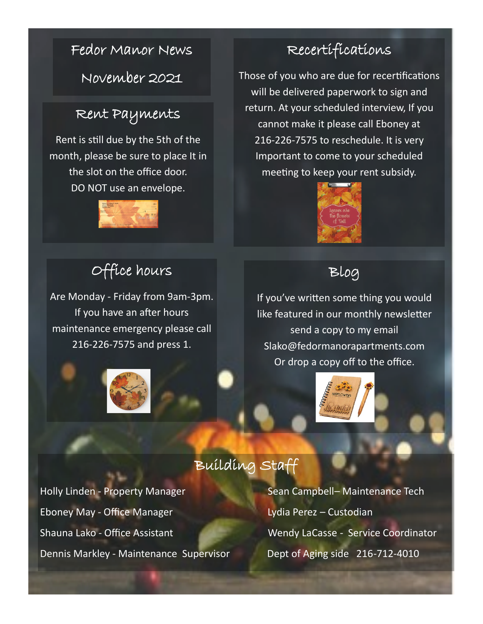### Fedor Manor News

November 2021

### Rent Payments

Rent is still due by the 5th of the month, please be sure to place It in the slot on the office door. DO NOT use an envelope.



## Office hours

Are Monday - Friday from 9am-3pm. If you have an after hours maintenance emergency please call 216-226-7575 and press 1.



### Recertifications

Those of you who are due for recertifications will be delivered paperwork to sign and return. At your scheduled interview, If you cannot make it please call Eboney at 216-226-7575 to reschedule. It is very Important to come to your scheduled meeting to keep your rent subsidy.



### Blog

If you've written some thing you would like featured in our monthly newsletter send a copy to my email Slako@fedormanorapartments.com Or drop a copy off to the office.



### Building Staff

Holly Linden - Property Manager Sean Campbell– Maintenance Tech Eboney May - Office Manager Lydia Perez – Custodian Shauna Lako - Office Assistant Wendy LaCasse - Service Coordinator Dennis Markley - Maintenance Supervisor **Dept of Aging side 216-712-4010**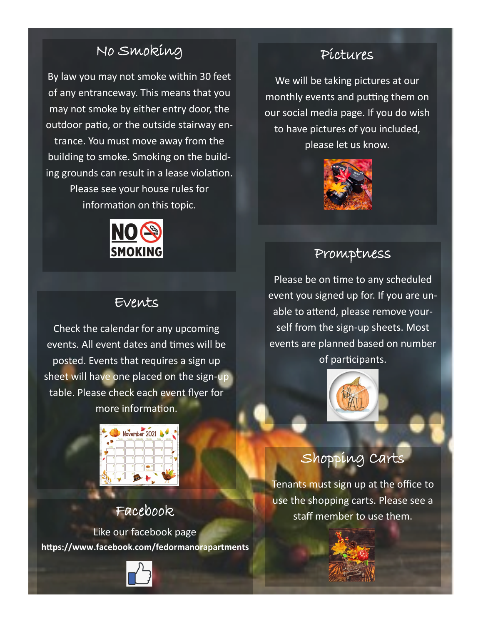### No Smoking

By law you may not smoke within 30 feet of any entranceway. This means that you may not smoke by either entry door, the outdoor patio, or the outside stairway entrance. You must move away from the building to smoke. Smoking on the building grounds can result in a lease violation. Please see your house rules for information on this topic.



### Events

Check the calendar for any upcoming events. All event dates and times will be posted. Events that requires a sign up sheet will have one placed on the sign-up table. Please check each event flyer for more information.



Like our facebook page **https://www.facebook.com/fedormanorapartments**



### Pictures

We will be taking pictures at our monthly events and putting them on our social media page. If you do wish to have pictures of you included, please let us know.



### Promptness

Please be on time to any scheduled event you signed up for. If you are unable to attend, please remove yourself from the sign-up sheets. Most events are planned based on number of participants.



## Shopping Carts

Tenants must sign up at the office to use the shopping carts. Please see a Facebook staff member to use them.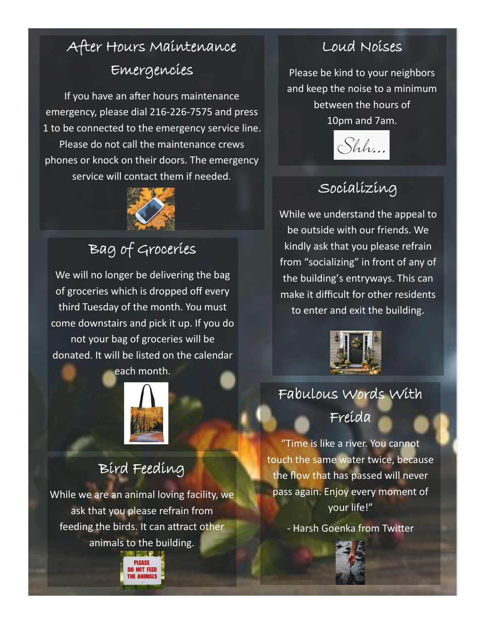## After Hours Maintenance Emergencies

If you have an after hours maintenance emergency, please dial 216-226-7575 and press 1 to be connected to the emergency service line. Please do not call the maintenance crews phones or knock on their doors. The emergency service will contact them if needed.



## Bag of Groceries

We will no longer be delivering the bag of groceries which is dropped off every third Tuesday of the month. You must come downstairs and pick it up. If you do not your bag of groceries will be donated. It will be listed on the calendar



## Bird Feeding

While we are an animal loving facility, we ask that you please refrain from feeding the birds. It can attract other animals to the building.



### Loud Noises

Please be kind to your neighbors and keep the noise to a minimum between the hours of 10pm and 7am.



# Socializing

While we understand the appeal to be outside with our friends. We kindly ask that you please refrain from "socializing" in front of any of the building's entryways. This can make it difficult for other residents to enter and exit the building.



# Fabulous Words With

Freida

"Time is like a river. You cannot touch the same water twice, because the flow that has passed will never pass again. Enjoy every moment of your life!"

- Harsh Goenka from Twitter

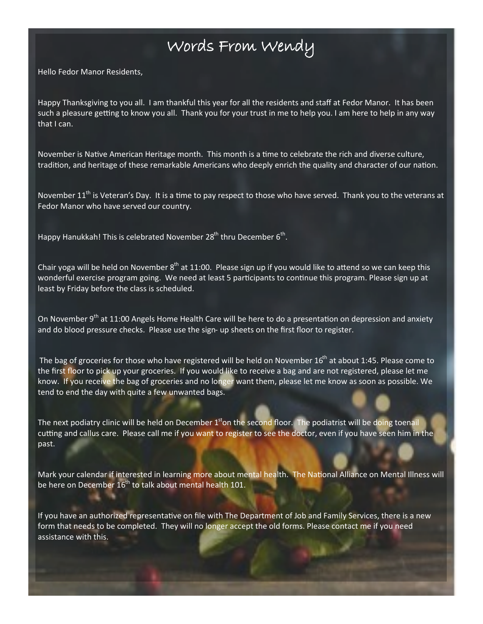### Words From Wendy

Hello Fedor Manor Residents,

Happy Thanksgiving to you all. I am thankful this year for all the residents and staff at Fedor Manor. It has been such a pleasure getting to know you all. Thank you for your trust in me to help you. I am here to help in any way that I can.

November is Native American Heritage month. This month is a time to celebrate the rich and diverse culture, tradition, and heritage of these remarkable Americans who deeply enrich the quality and character of our nation.

November 11<sup>th</sup> is Veteran's Day. It is a time to pay respect to those who have served. Thank you to the veterans at Fedor Manor who have served our country.

Happy Hanukkah! This is celebrated November 28<sup>th</sup> thru December 6<sup>th</sup>.

Chair yoga will be held on November  $8<sup>th</sup>$  at 11:00. Please sign up if you would like to attend so we can keep this wonderful exercise program going. We need at least 5 participants to continue this program. Please sign up at least by Friday before the class is scheduled.

On November 9<sup>th</sup> at 11:00 Angels Home Health Care will be here to do a presentation on depression and anxiety and do blood pressure checks. Please use the sign- up sheets on the first floor to register.

The bag of groceries for those who have registered will be held on November 16<sup>th</sup> at about 1:45. Please come to the first floor to pick up your groceries. If you would like to receive a bag and are not registered, please let me know. If you receive the bag of groceries and no longer want them, please let me know as soon as possible. We tend to end the day with quite a few unwanted bags.

The next podiatry clinic will be held on December  $1<sup>st</sup>$ on the second floor. The podiatrist will be doing toenail cutting and callus care. Please call me if you want to register to see the doctor, even if you have seen him in the past.

Mark your calendar if interested in learning more about mental health. The National Alliance on Mental Illness will be here on December  $16<sup>th</sup>$  to talk about mental health 101.

If you have an authorized representative on file with The Department of Job and Family Services, there is a new form that needs to be completed. They will no longer accept the old forms. Please contact me if you need assistance with this.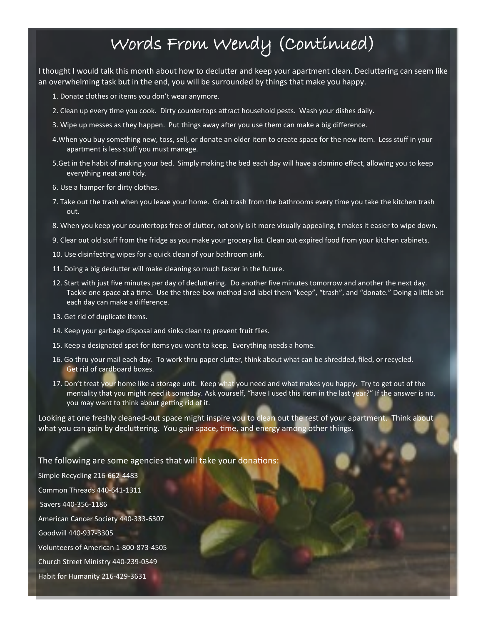## Words From Wendy (Continued)

I thought I would talk this month about how to declutter and keep your apartment clean. Decluttering can seem like an overwhelming task but in the end, you will be surrounded by things that make you happy.

- 1. Donate clothes or items you don't wear anymore.
- 2. Clean up every time you cook. Dirty countertops attract household pests. Wash your dishes daily.
- 3. Wipe up messes as they happen. Put things away after you use them can make a big difference.
- 4.When you buy something new, toss, sell, or donate an older item to create space for the new item. Less stuff in your apartment is less stuff you must manage.
- 5.Get in the habit of making your bed. Simply making the bed each day will have a domino effect, allowing you to keep everything neat and tidy.
- 6. Use a hamper for dirty clothes.
- 7. Take out the trash when you leave your home. Grab trash from the bathrooms every time you take the kitchen trash out.
- 8. When you keep your countertops free of clutter, not only is it more visually appealing, t makes it easier to wipe down.
- 9. Clear out old stuff from the fridge as you make your grocery list. Clean out expired food from your kitchen cabinets.
- 10. Use disinfecting wipes for a quick clean of your bathroom sink.
- 11. Doing a big declutter will make cleaning so much faster in the future.
- 12. Start with just five minutes per day of decluttering. Do another five minutes tomorrow and another the next day. Tackle one space at a time. Use the three-box method and label them "keep", "trash", and "donate." Doing a little bit each day can make a difference.
- 13. Get rid of duplicate items.
- 14. Keep your garbage disposal and sinks clean to prevent fruit flies.
- 15. Keep a designated spot for items you want to keep. Everything needs a home.
- 16. Go thru your mail each day. To work thru paper clutter, think about what can be shredded, filed, or recycled. Get rid of cardboard boxes.
- 17. Don't treat your home like a storage unit. Keep what you need and what makes you happy. Try to get out of the mentality that you might need it someday. Ask yourself, "have I used this item in the last year?" If the answer is no, you may want to think about getting rid of it.

Looking at one freshly cleaned-out space might inspire you to clean out the rest of your apartment. Think about what you can gain by decluttering. You gain space, time, and energy among other things.

### The following are some agencies that will take your donations:

Simple Recycling 216-662-4483 Common Threads 440-641-1311 Savers 440-356-1186 American Cancer Society 440-333-6307 Goodwill 440-937-3305 Volunteers of American 1-800-873-4505 Church Street Ministry 440-239-0549 Habit for Humanity 216-429-3631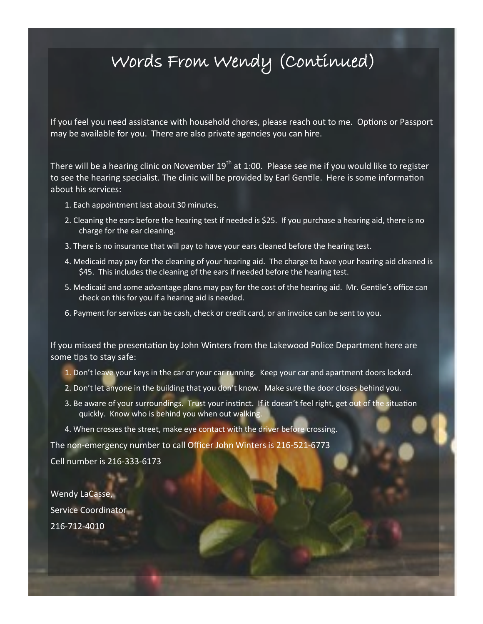## Words From Wendy (Continued)

If you feel you need assistance with household chores, please reach out to me. Options or Passport may be available for you. There are also private agencies you can hire.

There will be a hearing clinic on November  $19<sup>th</sup>$  at 1:00. Please see me if you would like to register to see the hearing specialist. The clinic will be provided by Earl Gentile. Here is some information about his services:

- 1. Each appointment last about 30 minutes.
- 2. Cleaning the ears before the hearing test if needed is \$25. If you purchase a hearing aid, there is no charge for the ear cleaning.
- 3. There is no insurance that will pay to have your ears cleaned before the hearing test.
- 4. Medicaid may pay for the cleaning of your hearing aid. The charge to have your hearing aid cleaned is \$45. This includes the cleaning of the ears if needed before the hearing test.
- 5. Medicaid and some advantage plans may pay for the cost of the hearing aid. Mr. Gentile's office can check on this for you if a hearing aid is needed.
- 6. Payment for services can be cash, check or credit card, or an invoice can be sent to you.

If you missed the presentation by John Winters from the Lakewood Police Department here are some tips to stay safe:

- 1. Don't leave your keys in the car or your car running. Keep your car and apartment doors locked.
- 2. Don't let anyone in the building that you don't know. Make sure the door closes behind you.
- 3. Be aware of your surroundings. Trust your instinct. If it doesn't feel right, get out of the situation quickly. Know who is behind you when out walking.
- 4. When crosses the street, make eye contact with the driver before crossing.

The non-emergency number to call Officer John Winters is 216-521-6773

Cell number is 216-333-6173

Wendy LaCasse, Service Coordinator 216-712-4010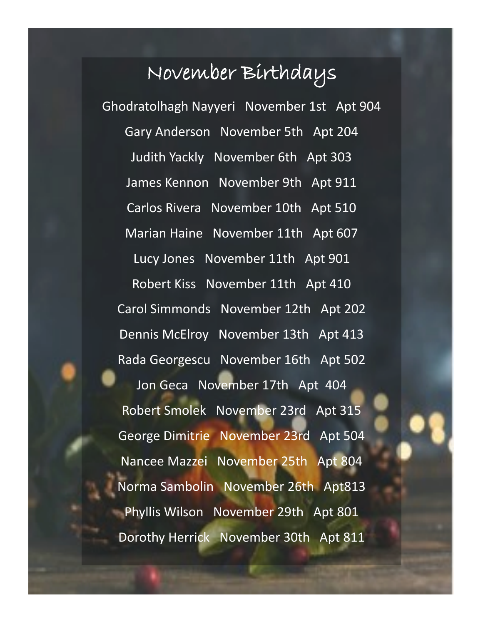# November Birthdays

Ghodratolhagh Nayyeri November 1st Apt 904 Gary Anderson November 5th Apt 204 Judith Yackly November 6th Apt 303 James Kennon November 9th Apt 911 Carlos Rivera November 10th Apt 510 Marian Haine November 11th Apt 607 Lucy Jones November 11th Apt 901 Robert Kiss November 11th Apt 410 Carol Simmonds November 12th Apt 202 Dennis McElroy November 13th Apt 413 Rada Georgescu November 16th Apt 502 Jon Geca November 17th Apt 404 Robert Smolek November 23rd Apt 315 George Dimitrie November 23rd Apt 504 Nancee Mazzei November 25th Apt 804 Norma Sambolin November 26th Apt813 Phyllis Wilson November 29th Apt 801 Dorothy Herrick November 30th Apt 811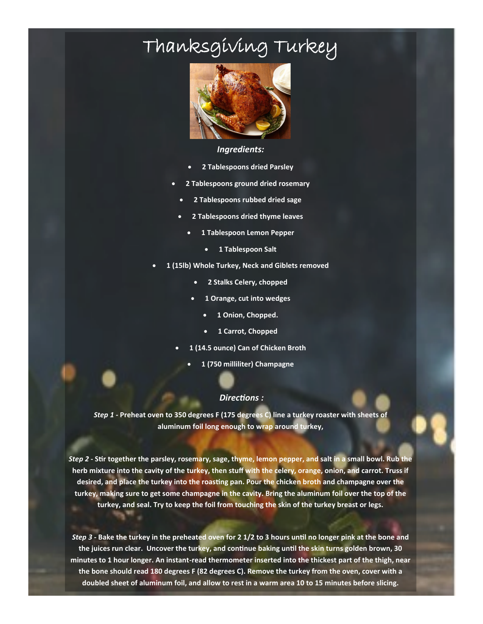# Thanksgiving Turkey



### *Ingredients:*

- **2 Tablespoons dried Parsley**
- **2 Tablespoons ground dried rosemary**
	- **2 Tablespoons rubbed dried sage**
- **2 Tablespoons dried thyme leaves**
	- **1 Tablespoon Lemon Pepper**
		- **1 Tablespoon Salt**
- **1 (15lb) Whole Turkey, Neck and Giblets removed** 
	- **2 Stalks Celery, chopped**
	- **1 Orange, cut into wedges**
		- **1 Onion, Chopped.**
		- **1 Carrot, Chopped**
	- **1 (14.5 ounce) Can of Chicken Broth**
		- **1 (750 milliliter) Champagne**

#### *Directions :*

*Step 1 -* **Preheat oven to 350 degrees F (175 degrees C) line a turkey roaster with sheets of aluminum foil long enough to wrap around turkey,** 

*Step 2* **- Stir together the parsley, rosemary, sage, thyme, lemon pepper, and salt in a small bowl. Rub the herb mixture into the cavity of the turkey, then stuff with the celery, orange, onion, and carrot. Truss if desired, and place the turkey into the roasting pan. Pour the chicken broth and champagne over the turkey, making sure to get some champagne in the cavity. Bring the aluminum foil over the top of the turkey, and seal. Try to keep the foil from touching the skin of the turkey breast or legs.**

*Step 3 -* **Bake the turkey in the preheated oven for 2 1/2 to 3 hours until no longer pink at the bone and the juices run clear. Uncover the turkey, and continue baking until the skin turns golden brown, 30 minutes to 1 hour longer. An instant-read thermometer inserted into the thickest part of the thigh, near the bone should read 180 degrees F (82 degrees C). Remove the turkey from the oven, cover with a doubled sheet of aluminum foil, and allow to rest in a warm area 10 to 15 minutes before slicing.**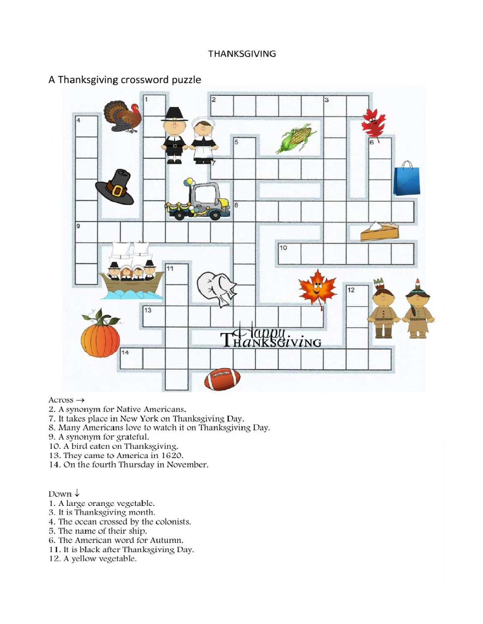

### A Thanksgiving crossword puzzle

### Across  $\rightarrow$

- 2. A synonym for Native Americans.
- 7. It takes place in New York on Thanksgiving Day.
- 8. Many Americans love to watch it on Thanksgiving Day.
- 9. A synonym for grateful.
- 10. A bird eaten on Thanksgiving.
- 13. They came to America in 1620.
- 14. On the fourth Thursday in November.

Down  $\downarrow$ 

- 1. A large orange vegetable.<br>3. It is Thanksgiving month.
- 
- 4. The ocean crossed by the colonists.
- 5. The name of their ship.
- 6. The American word for Autumn.
- 11. It is black after Thanksgiving Day.
- 12. A yellow vegetable.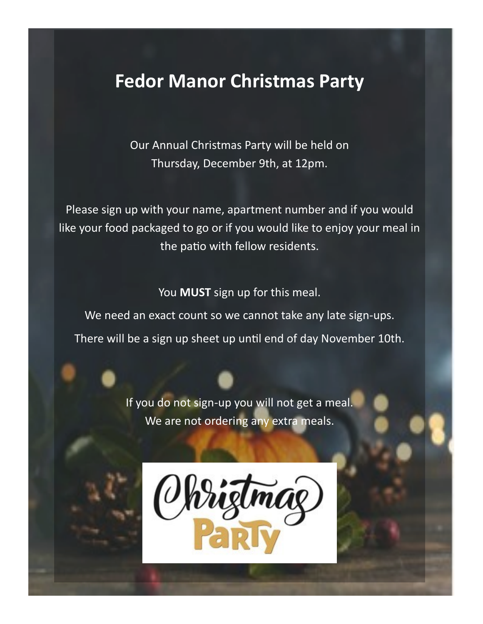## **Fedor Manor Christmas Party**

Our Annual Christmas Party will be held on Thursday, December 9th, at 12pm.

Please sign up with your name, apartment number and if you would like your food packaged to go or if you would like to enjoy your meal in the patio with fellow residents.

You **MUST** sign up for this meal. We need an exact count so we cannot take any late sign-ups. There will be a sign up sheet up until end of day November 10th.

> If you do not sign-up you will not get a meal. We are not ordering any extra meals.